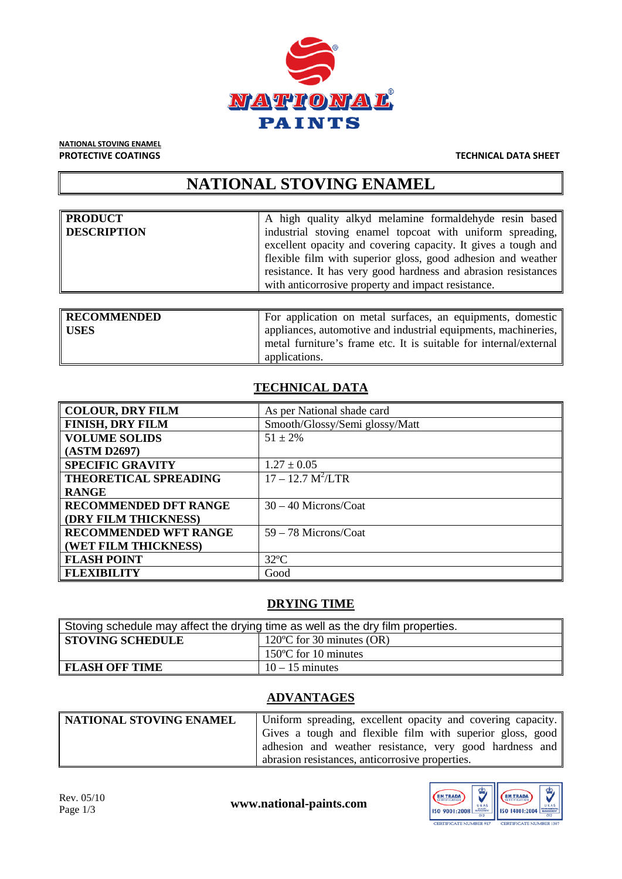

**NATIONAL STOVING ENAMEL<br>PROTECTIVE COATINGS** 

#### **TECHNICAL DATA SHEET**

# **NATIONAL STOVING ENAMEL**

| <b>PRODUCT</b>     | A high quality alkyd melamine formaldehyde resin based         |
|--------------------|----------------------------------------------------------------|
| <b>DESCRIPTION</b> | industrial stoving enamel topcoat with uniform spreading,      |
|                    | excellent opacity and covering capacity. It gives a tough and  |
|                    | flexible film with superior gloss, good adhesion and weather   |
|                    | resistance. It has very good hardness and abrasion resistances |
|                    | with anticorrosive property and impact resistance.             |

| <b>RECOMMENDED</b> | For application on metal surfaces, an equipments, domestic        |
|--------------------|-------------------------------------------------------------------|
| <b>USES</b>        | appliances, automotive and industrial equipments, machineries,    |
|                    | metal furniture's frame etc. It is suitable for internal/external |
|                    | applications.                                                     |

## **TECHNICAL DATA**

| <b>COLOUR, DRY FILM</b>      | As per National shade card     |
|------------------------------|--------------------------------|
| <b>FINISH, DRY FILM</b>      | Smooth/Glossy/Semi glossy/Matt |
| <b>VOLUME SOLIDS</b>         | $51 \pm 2\%$                   |
| (ASTM D2697)                 |                                |
| <b>SPECIFIC GRAVITY</b>      | $1.27 \pm 0.05$                |
| THEORETICAL SPREADING        | $17 - 12.7 M^2/LTR$            |
| <b>RANGE</b>                 |                                |
| <b>RECOMMENDED DFT RANGE</b> | $30 - 40$ Microns/Coat         |
| (DRY FILM THICKNESS)         |                                |
| <b>RECOMMENDED WFT RANGE</b> | $59 - 78$ Microns/Coat         |
| (WET FILM THICKNESS)         |                                |
| <b>FLASH POINT</b>           | $32^{\circ}$ C                 |
| <b>FLEXIBILITY</b>           | Good                           |

### **DRYING TIME**

| Stoving schedule may affect the drying time as well as the dry film properties. |                                     |  |
|---------------------------------------------------------------------------------|-------------------------------------|--|
| <b>STOVING SCHEDULE</b>                                                         | 120 $\degree$ C for 30 minutes (OR) |  |
|                                                                                 | 150°C for 10 minutes                |  |
| <b>FLASH OFF TIME</b>                                                           | $10 - 15$ minutes                   |  |

## **ADVANTAGES**

| NATIONAL STOVING ENAMEL | Uniform spreading, excellent opacity and covering capacity. |
|-------------------------|-------------------------------------------------------------|
|                         | Gives a tough and flexible film with superior gloss, good   |
|                         | adhesion and weather resistance, very good hardness and     |
|                         | abrasion resistances, anticorrosive properties.             |

www.national-paints.com

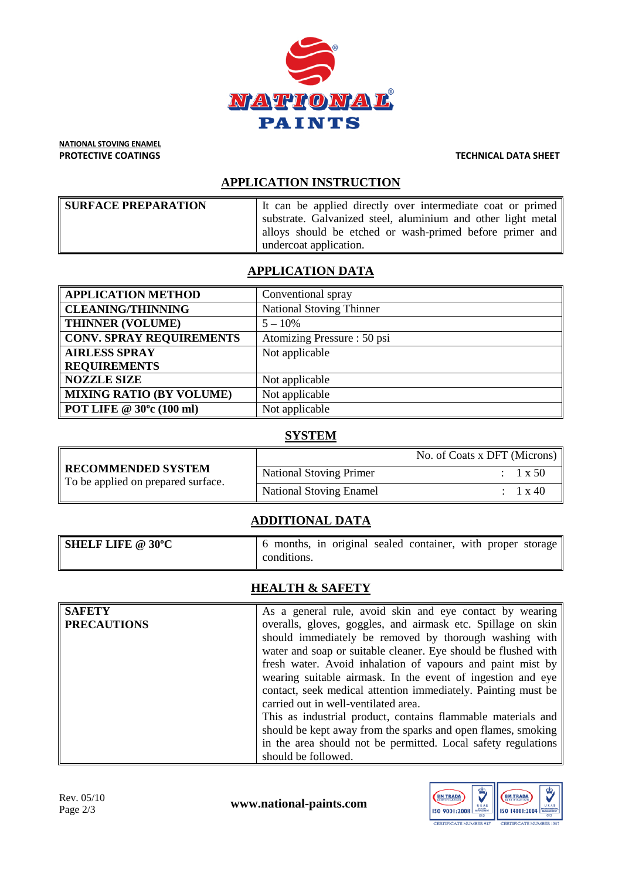

**NATIONAL STOVING ENAMEL<br>PROTECTIVE COATINGS** 

#### **TECHNICAL DATA SHEET**

#### **APPLICATION INSTRUCTION**

| <b>SURFACE PREPARATION</b> | It can be applied directly over intermediate coat or primed  |
|----------------------------|--------------------------------------------------------------|
|                            | substrate. Galvanized steel, aluminium and other light metal |
|                            | alloys should be etched or wash-primed before primer and     |
|                            | undercoat application.                                       |

### **APPLICATION DATA**

| <b>APPLICATION METHOD</b>                       | Conventional spray              |
|-------------------------------------------------|---------------------------------|
| <b>CLEANING/THINNING</b>                        | <b>National Stoving Thinner</b> |
| <b>THINNER (VOLUME)</b>                         | $5 - 10\%$                      |
| <b>CONV. SPRAY REQUIREMENTS</b>                 | Atomizing Pressure: 50 psi      |
| <b>AIRLESS SPRAY</b>                            | Not applicable                  |
| <b>REQUIREMENTS</b>                             |                                 |
| <b>NOZZLE SIZE</b>                              | Not applicable                  |
| <b>MIXING RATIO (BY VOLUME)</b>                 | Not applicable                  |
| $\parallel$ POT LIFE @ 30 $^{\circ}$ c (100 ml) | Not applicable                  |

#### **SYSTEM**

| RECOMMENDED SYSTEM<br>To be applied on prepared surface. |                                | No. of Coats x DFT (Microns) |
|----------------------------------------------------------|--------------------------------|------------------------------|
|                                                          | <b>National Stoving Primer</b> | $1 \times 50$                |
|                                                          | <b>National Stoving Enamel</b> | $1 \times 40$                |

#### **ADDITIONAL DATA**

| <b>SHELF LIFE @ 30°C</b> | months, in original sealed container, with proper storage<br>conditions. |
|--------------------------|--------------------------------------------------------------------------|
|                          |                                                                          |

## **HEALTH & SAFETY**

| <b>SAFETY</b>      | As a general rule, avoid skin and eye contact by wearing       |
|--------------------|----------------------------------------------------------------|
| <b>PRECAUTIONS</b> | overalls, gloves, goggles, and airmask etc. Spillage on skin   |
|                    | should immediately be removed by thorough washing with         |
|                    | water and soap or suitable cleaner. Eye should be flushed with |
|                    | fresh water. Avoid inhalation of vapours and paint mist by     |
|                    | wearing suitable airmask. In the event of ingestion and eye    |
|                    | contact, seek medical attention immediately. Painting must be  |
|                    | carried out in well-ventilated area.                           |
|                    | This as industrial product, contains flammable materials and   |
|                    | should be kept away from the sparks and open flames, smoking   |
|                    | in the area should not be permitted. Local safety regulations  |
|                    | should be followed.                                            |

Rev. 05/10<br>Page 2/3

www.national-paints.com